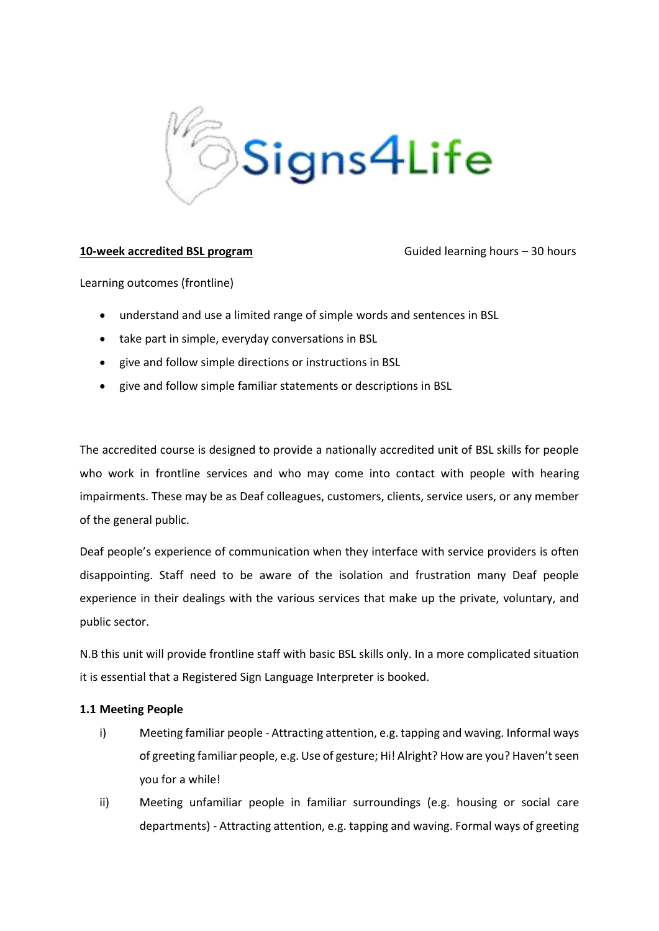

# **10-week accredited BSL program** Guided learning hours – 30 hours

Learning outcomes (frontline)

- understand and use a limited range of simple words and sentences in BSL
- take part in simple, everyday conversations in BSL
- give and follow simple directions or instructions in BSL
- give and follow simple familiar statements or descriptions in BSL

The accredited course is designed to provide a nationally accredited unit of BSL skills for people who work in frontline services and who may come into contact with people with hearing impairments. These may be as Deaf colleagues, customers, clients, service users, or any member of the general public.

Deaf people's experience of communication when they interface with service providers is often disappointing. Staff need to be aware of the isolation and frustration many Deaf people experience in their dealings with the various services that make up the private, voluntary, and public sector.

N.B this unit will provide frontline staff with basic BSL skills only. In a more complicated situation it is essential that a Registered Sign Language Interpreter is booked.

## **1.1 Meeting People**

- i) Meeting familiar people Attracting attention, e.g. tapping and waving. Informal ways of greeting familiar people, e.g. Use of gesture; Hi! Alright? How are you? Haven't seen you for a while!
- ii) Meeting unfamiliar people in familiar surroundings (e.g. housing or social care departments) - Attracting attention, e.g. tapping and waving. Formal ways of greeting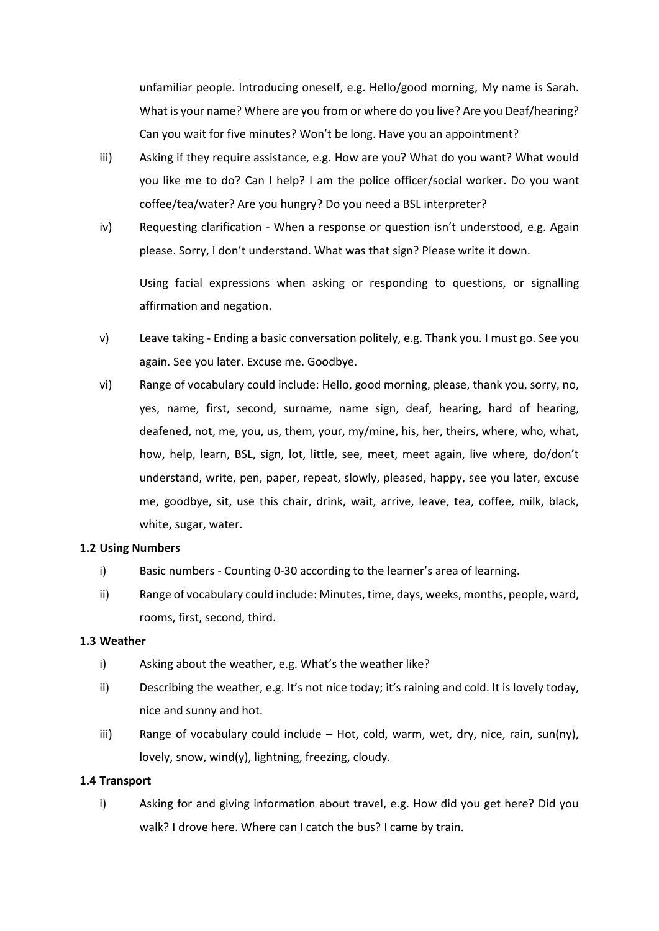unfamiliar people. Introducing oneself, e.g. Hello/good morning, My name is Sarah. What is your name? Where are you from or where do you live? Are you Deaf/hearing? Can you wait for five minutes? Won't be long. Have you an appointment?

- iii) Asking if they require assistance, e.g. How are you? What do you want? What would you like me to do? Can I help? I am the police officer/social worker. Do you want coffee/tea/water? Are you hungry? Do you need a BSL interpreter?
- iv) Requesting clarification When a response or question isn't understood, e.g. Again please. Sorry, I don't understand. What was that sign? Please write it down.

Using facial expressions when asking or responding to questions, or signalling affirmation and negation.

- v) Leave taking Ending a basic conversation politely, e.g. Thank you. I must go. See you again. See you later. Excuse me. Goodbye.
- vi) Range of vocabulary could include: Hello, good morning, please, thank you, sorry, no, yes, name, first, second, surname, name sign, deaf, hearing, hard of hearing, deafened, not, me, you, us, them, your, my/mine, his, her, theirs, where, who, what, how, help, learn, BSL, sign, lot, little, see, meet, meet again, live where, do/don't understand, write, pen, paper, repeat, slowly, pleased, happy, see you later, excuse me, goodbye, sit, use this chair, drink, wait, arrive, leave, tea, coffee, milk, black, white, sugar, water.

## **1.2 Using Numbers**

- i) Basic numbers Counting 0-30 according to the learner's area of learning.
- ii) Range of vocabulary could include: Minutes, time, days, weeks, months, people, ward, rooms, first, second, third.

## **1.3 Weather**

- i) Asking about the weather, e.g. What's the weather like?
- ii) Describing the weather, e.g. It's not nice today; it's raining and cold. It is lovely today, nice and sunny and hot.
- iii) Range of vocabulary could include  $-$  Hot, cold, warm, wet, dry, nice, rain, sun(ny), lovely, snow, wind(y), lightning, freezing, cloudy.

## **1.4 Transport**

i) Asking for and giving information about travel, e.g. How did you get here? Did you walk? I drove here. Where can I catch the bus? I came by train.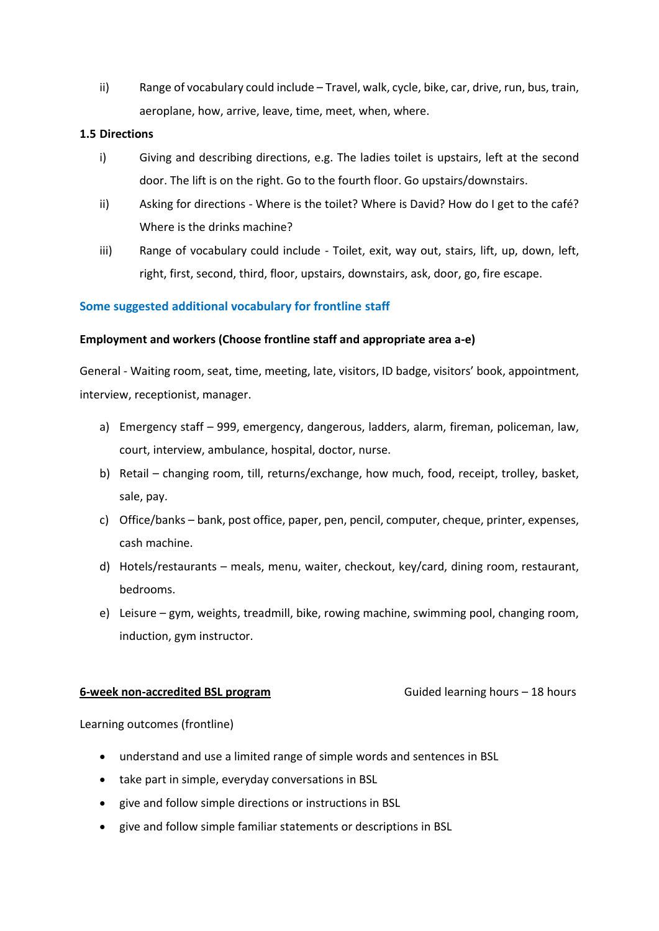ii) Range of vocabulary could include – Travel, walk, cycle, bike, car, drive, run, bus, train, aeroplane, how, arrive, leave, time, meet, when, where.

## **1.5 Directions**

- i) Giving and describing directions, e.g. The ladies toilet is upstairs, left at the second door. The lift is on the right. Go to the fourth floor. Go upstairs/downstairs.
- ii) Asking for directions Where is the toilet? Where is David? How do I get to the café? Where is the drinks machine?
- iii) Range of vocabulary could include Toilet, exit, way out, stairs, lift, up, down, left, right, first, second, third, floor, upstairs, downstairs, ask, door, go, fire escape.

# **Some suggested additional vocabulary for frontline staff**

# **Employment and workers (Choose frontline staff and appropriate area a-e)**

General - Waiting room, seat, time, meeting, late, visitors, ID badge, visitors' book, appointment, interview, receptionist, manager.

- a) Emergency staff 999, emergency, dangerous, ladders, alarm, fireman, policeman, law, court, interview, ambulance, hospital, doctor, nurse.
- b) Retail changing room, till, returns/exchange, how much, food, receipt, trolley, basket, sale, pay.
- c) Office/banks bank, post office, paper, pen, pencil, computer, cheque, printer, expenses, cash machine.
- d) Hotels/restaurants meals, menu, waiter, checkout, key/card, dining room, restaurant, bedrooms.
- e) Leisure gym, weights, treadmill, bike, rowing machine, swimming pool, changing room, induction, gym instructor.

## **6-week non-accredited BSL program** Guided learning hours – 18 hours

Learning outcomes (frontline)

- understand and use a limited range of simple words and sentences in BSL
- take part in simple, everyday conversations in BSL
- give and follow simple directions or instructions in BSL
- give and follow simple familiar statements or descriptions in BSL